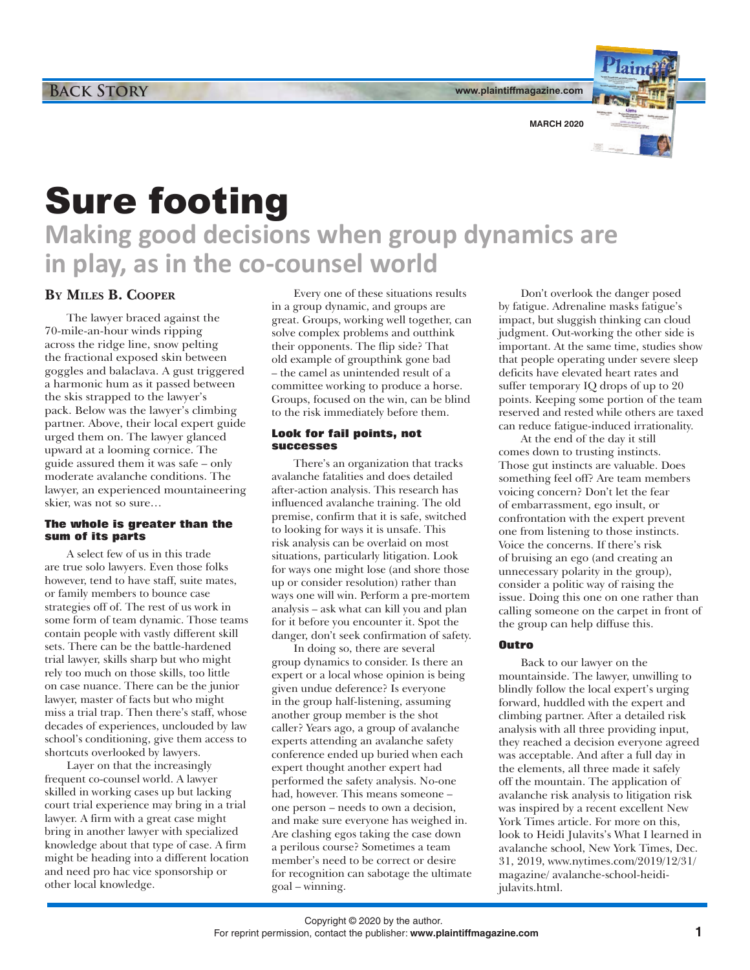**www.plaintiffmagazine.com**

**MARCH 2020**



Sure footing

**Making good decisions when group dynamics are in play, as in the co-counsel world**

## **By Miles B. Cooper**

The lawyer braced against the 70-mile-an-hour winds ripping across the ridge line, snow pelting the fractional exposed skin between goggles and balaclava. A gust triggered a harmonic hum as it passed between the skis strapped to the lawyer's pack. Below was the lawyer's climbing partner. Above, their local expert guide urged them on. The lawyer glanced upward at a looming cornice. The guide assured them it was safe – only moderate avalanche conditions. The lawyer, an experienced mountaineering skier, was not so sure…

## **The whole is greater than the sum of its parts**

A select few of us in this trade are true solo lawyers. Even those folks however, tend to have staff, suite mates, or family members to bounce case strategies off of. The rest of us work in some form of team dynamic. Those teams contain people with vastly different skill sets. There can be the battle-hardened trial lawyer, skills sharp but who might rely too much on those skills, too little on case nuance. There can be the junior lawyer, master of facts but who might miss a trial trap. Then there's staff, whose decades of experiences, unclouded by law school's conditioning, give them access to shortcuts overlooked by lawyers.

Layer on that the increasingly frequent co-counsel world. A lawyer skilled in working cases up but lacking court trial experience may bring in a trial lawyer. A firm with a great case might bring in another lawyer with specialized knowledge about that type of case. A firm might be heading into a different location and need pro hac vice sponsorship or other local knowledge.

Every one of these situations results in a group dynamic, and groups are great. Groups, working well together, can solve complex problems and outthink their opponents. The flip side? That old example of groupthink gone bad – the camel as unintended result of a committee working to produce a horse. Groups, focused on the win, can be blind to the risk immediately before them.

## **Look for fail points, not successes**

There's an organization that tracks avalanche fatalities and does detailed after-action analysis. This research has influenced avalanche training. The old premise, confirm that it is safe, switched to looking for ways it is unsafe. This risk analysis can be overlaid on most situations, particularly litigation. Look for ways one might lose (and shore those up or consider resolution) rather than ways one will win. Perform a pre-mortem analysis – ask what can kill you and plan for it before you encounter it. Spot the danger, don't seek confirmation of safety.

In doing so, there are several group dynamics to consider. Is there an expert or a local whose opinion is being given undue deference? Is everyone in the group half-listening, assuming another group member is the shot caller? Years ago, a group of avalanche experts attending an avalanche safety conference ended up buried when each expert thought another expert had performed the safety analysis. No-one had, however. This means someone – one person – needs to own a decision, and make sure everyone has weighed in. Are clashing egos taking the case down a perilous course? Sometimes a team member's need to be correct or desire for recognition can sabotage the ultimate goal – winning.

Don't overlook the danger posed by fatigue. Adrenaline masks fatigue's impact, but sluggish thinking can cloud judgment. Out-working the other side is important. At the same time, studies show that people operating under severe sleep deficits have elevated heart rates and suffer temporary IQ drops of up to 20 points. Keeping some portion of the team reserved and rested while others are taxed can reduce fatigue-induced irrationality.

At the end of the day it still comes down to trusting instincts. Those gut instincts are valuable. Does something feel off? Are team members voicing concern? Don't let the fear of embarrassment, ego insult, or confrontation with the expert prevent one from listening to those instincts. Voice the concerns. If there's risk of bruising an ego (and creating an unnecessary polarity in the group), consider a politic way of raising the issue. Doing this one on one rather than calling someone on the carpet in front of the group can help diffuse this.

## **Outro**

Back to our lawyer on the mountainside. The lawyer, unwilling to blindly follow the local expert's urging forward, huddled with the expert and climbing partner. After a detailed risk analysis with all three providing input, they reached a decision everyone agreed was acceptable. And after a full day in the elements, all three made it safely off the mountain. The application of avalanche risk analysis to litigation risk was inspired by a recent excellent New York Times article. For more on this, look to Heidi Julavits's What I learned in avalanche school, New York Times, Dec. 31, 2019, www.nytimes.com/2019/12/31/ magazine/ avalanche-school-heidijulavits.html.